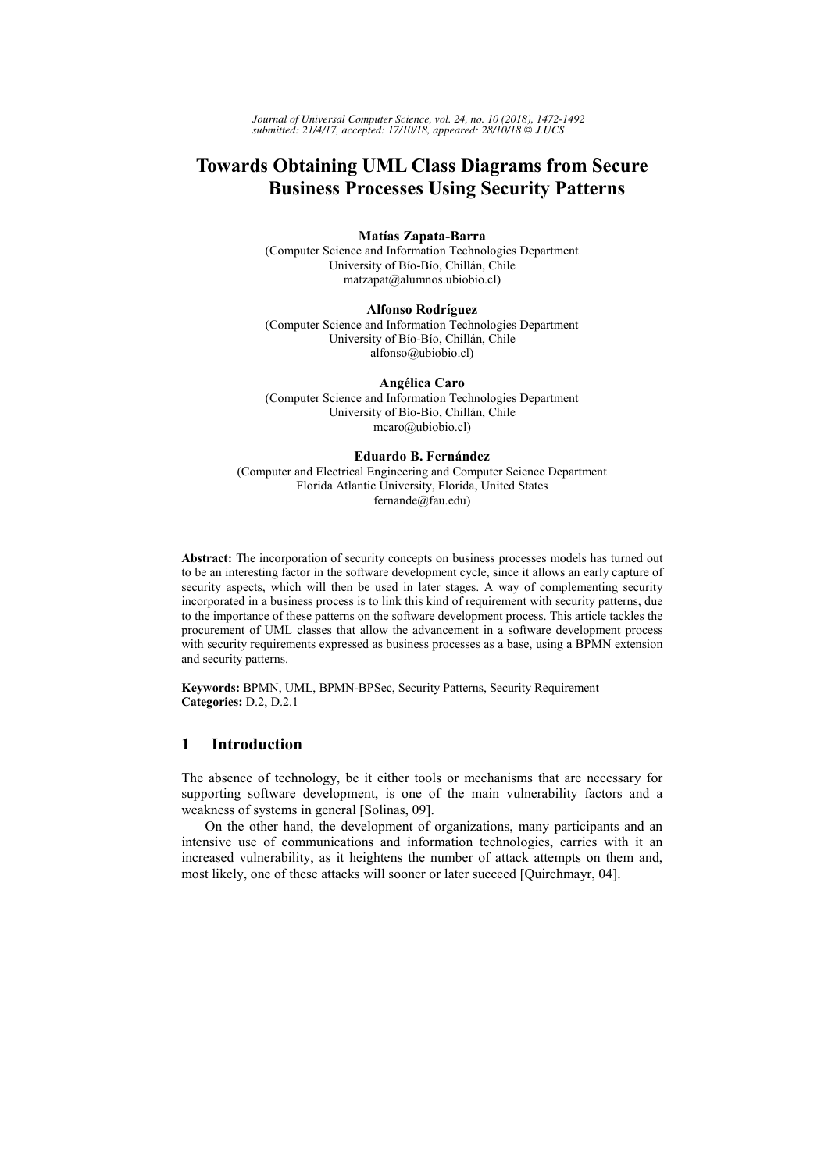# **Towards Obtaining UML Class Diagrams from Secure Business Processes Using Security Patterns**

### **Matías Zapata-Barra**

(Computer Science and Information Technologies Department University of Bío-Bío, Chillán, Chile matzapat@alumnos.ubiobio.cl)

### **Alfonso Rodríguez**

(Computer Science and Information Technologies Department University of Bío-Bío, Chillán, Chile alfonso@ubiobio.cl)

**Angélica Caro**  (Computer Science and Information Technologies Department University of Bío-Bío, Chillán, Chile mcaro@ubiobio.cl)

#### **Eduardo B. Fernández**

(Computer and Electrical Engineering and Computer Science Department Florida Atlantic University, Florida, United States fernande@fau.edu)

**Abstract:** The incorporation of security concepts on business processes models has turned out to be an interesting factor in the software development cycle, since it allows an early capture of security aspects, which will then be used in later stages. A way of complementing security incorporated in a business process is to link this kind of requirement with security patterns, due to the importance of these patterns on the software development process. This article tackles the procurement of UML classes that allow the advancement in a software development process with security requirements expressed as business processes as a base, using a BPMN extension and security patterns.

**Keywords:** BPMN, UML, BPMN-BPSec, Security Patterns, Security Requirement **Categories:** D.2, D.2.1

# **1 Introduction**

The absence of technology, be it either tools or mechanisms that are necessary for supporting software development, is one of the main vulnerability factors and a weakness of systems in general [Solinas, 09].

On the other hand, the development of organizations, many participants and an intensive use of communications and information technologies, carries with it an increased vulnerability, as it heightens the number of attack attempts on them and, most likely, one of these attacks will sooner or later succeed [Quirchmayr, 04].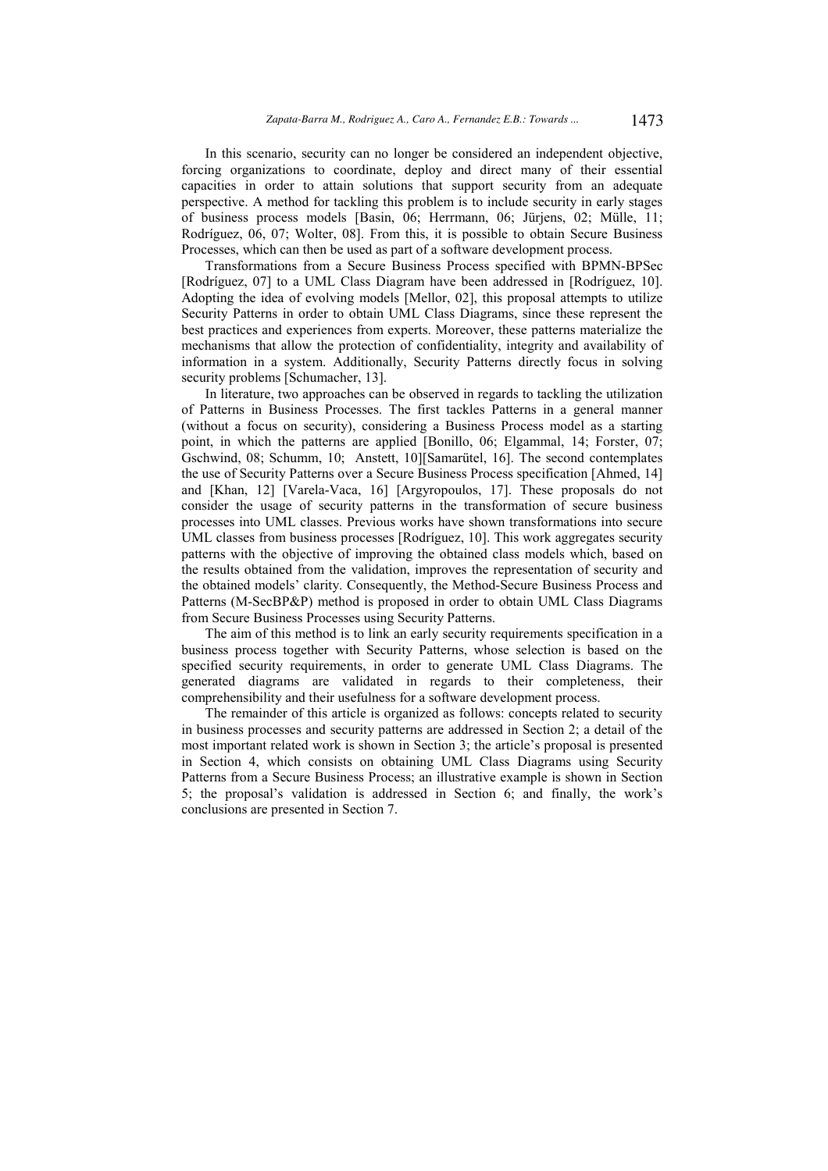In this scenario, security can no longer be considered an independent objective, forcing organizations to coordinate, deploy and direct many of their essential capacities in order to attain solutions that support security from an adequate perspective. A method for tackling this problem is to include security in early stages of business process models [Basin, 06; Herrmann, 06; Jürjens, 02; Mülle, 11; Rodríguez, 06, 07; Wolter, 08]. From this, it is possible to obtain Secure Business Processes, which can then be used as part of a software development process.

Transformations from a Secure Business Process specified with BPMN-BPSec [Rodríguez, 07] to a UML Class Diagram have been addressed in [Rodríguez, 10]. Adopting the idea of evolving models [Mellor, 02], this proposal attempts to utilize Security Patterns in order to obtain UML Class Diagrams, since these represent the best practices and experiences from experts. Moreover, these patterns materialize the mechanisms that allow the protection of confidentiality, integrity and availability of information in a system. Additionally, Security Patterns directly focus in solving security problems [Schumacher, 13].

In literature, two approaches can be observed in regards to tackling the utilization of Patterns in Business Processes. The first tackles Patterns in a general manner (without a focus on security), considering a Business Process model as a starting point, in which the patterns are applied [Bonillo, 06; Elgammal, 14; Forster, 07; Gschwind, 08; Schumm, 10; Anstett, 10][Samarütel, 16]. The second contemplates the use of Security Patterns over a Secure Business Process specification [Ahmed, 14] and [Khan, 12] [Varela-Vaca, 16] [Argyropoulos, 17]. These proposals do not consider the usage of security patterns in the transformation of secure business processes into UML classes. Previous works have shown transformations into secure UML classes from business processes [Rodríguez, 10]. This work aggregates security patterns with the objective of improving the obtained class models which, based on the results obtained from the validation, improves the representation of security and the obtained models' clarity. Consequently, the Method-Secure Business Process and Patterns (M-SecBP&P) method is proposed in order to obtain UML Class Diagrams from Secure Business Processes using Security Patterns.

The aim of this method is to link an early security requirements specification in a business process together with Security Patterns, whose selection is based on the specified security requirements, in order to generate UML Class Diagrams. The generated diagrams are validated in regards to their completeness, their comprehensibility and their usefulness for a software development process.

The remainder of this article is organized as follows: concepts related to security in business processes and security patterns are addressed in Section 2; a detail of the most important related work is shown in Section 3; the article's proposal is presented in Section 4, which consists on obtaining UML Class Diagrams using Security Patterns from a Secure Business Process; an illustrative example is shown in Section 5; the proposal's validation is addressed in Section 6; and finally, the work's conclusions are presented in Section 7.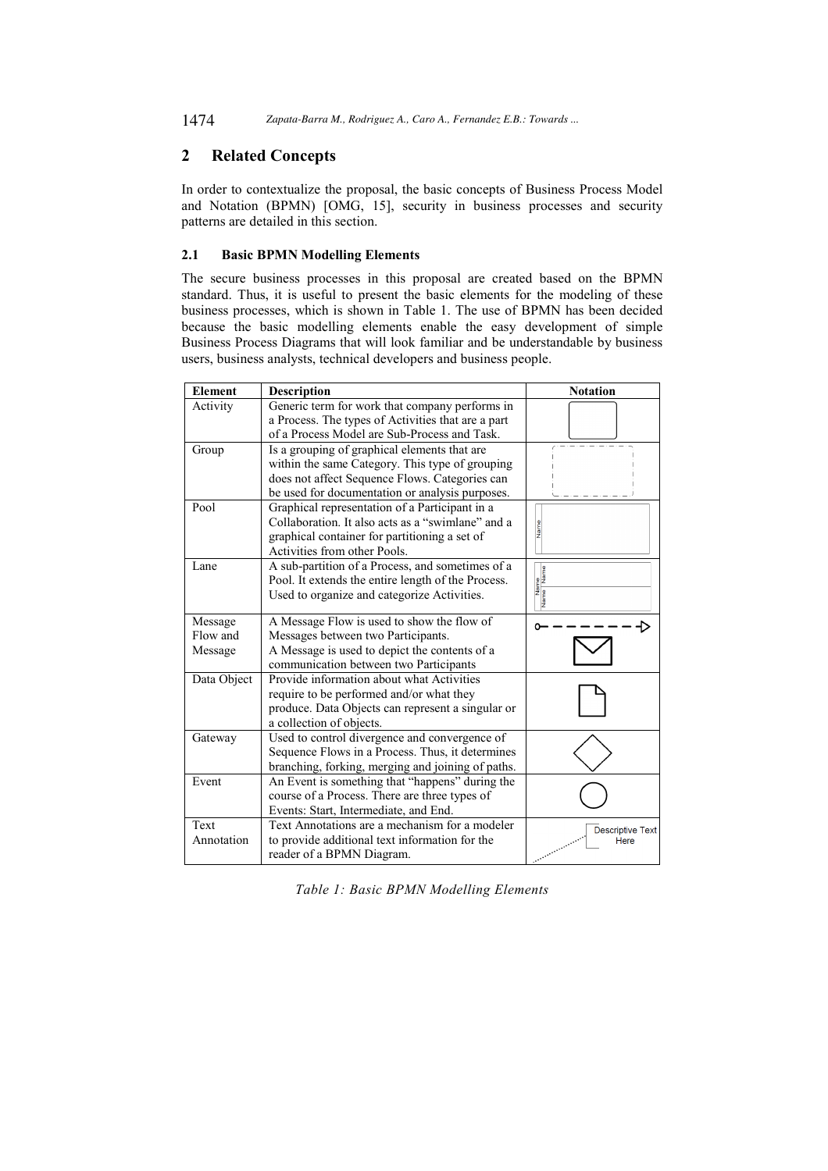1474 *Zapata-Barra M., Rodriguez A., Caro A., Fernandez E.B.: Towards ...*

# **2 Related Concepts**

In order to contextualize the proposal, the basic concepts of Business Process Model and Notation (BPMN) [OMG, 15], security in business processes and security patterns are detailed in this section.

# **2.1 Basic BPMN Modelling Elements**

The secure business processes in this proposal are created based on the BPMN standard. Thus, it is useful to present the basic elements for the modeling of these business processes, which is shown in Table 1. The use of BPMN has been decided because the basic modelling elements enable the easy development of simple Business Process Diagrams that will look familiar and be understandable by business users, business analysts, technical developers and business people.

| <b>Element</b> | Description                                        | <b>Notation</b>         |
|----------------|----------------------------------------------------|-------------------------|
| Activity       | Generic term for work that company performs in     |                         |
|                | a Process. The types of Activities that are a part |                         |
|                | of a Process Model are Sub-Process and Task.       |                         |
| Group          | Is a grouping of graphical elements that are       |                         |
|                | within the same Category. This type of grouping    |                         |
|                | does not affect Sequence Flows. Categories can     |                         |
|                | be used for documentation or analysis purposes.    |                         |
| Pool           | Graphical representation of a Participant in a     |                         |
|                | Collaboration. It also acts as a "swimlane" and a  | Name                    |
|                | graphical container for partitioning a set of      |                         |
|                | Activities from other Pools.                       |                         |
| Lane           | A sub-partition of a Process, and sometimes of a   |                         |
|                | Pool. It extends the entire length of the Process. |                         |
|                | Used to organize and categorize Activities.        | Name<br>Name Name       |
| Message        | A Message Flow is used to show the flow of         |                         |
| Flow and       | Messages between two Participants.                 |                         |
| Message        | A Message is used to depict the contents of a      |                         |
|                | communication between two Participants             |                         |
| Data Object    | Provide information about what Activities          |                         |
|                | require to be performed and/or what they           |                         |
|                | produce. Data Objects can represent a singular or  |                         |
|                | a collection of objects.                           |                         |
| Gateway        | Used to control divergence and convergence of      |                         |
|                | Sequence Flows in a Process. Thus, it determines   |                         |
|                | branching, forking, merging and joining of paths.  |                         |
| Event          | An Event is something that "happens" during the    |                         |
|                | course of a Process. There are three types of      |                         |
|                | Events: Start, Intermediate, and End.              |                         |
| Text           | Text Annotations are a mechanism for a modeler     | <b>Descriptive Text</b> |
| Annotation     | to provide additional text information for the     | Here                    |
|                | reader of a BPMN Diagram.                          |                         |

*Table 1: Basic BPMN Modelling Elements*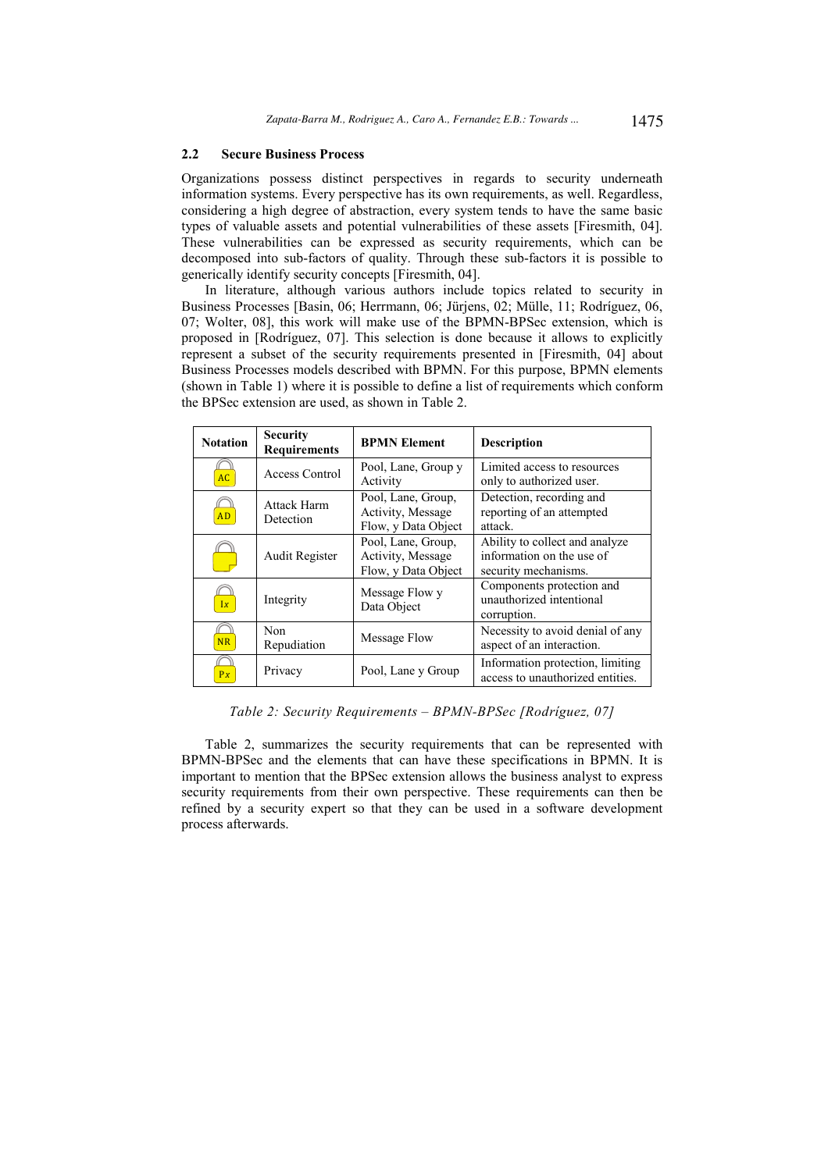### **2.2 Secure Business Process**

Organizations possess distinct perspectives in regards to security underneath information systems. Every perspective has its own requirements, as well. Regardless, considering a high degree of abstraction, every system tends to have the same basic types of valuable assets and potential vulnerabilities of these assets [Firesmith, 04]. These vulnerabilities can be expressed as security requirements, which can be decomposed into sub-factors of quality. Through these sub-factors it is possible to generically identify security concepts [Firesmith, 04].

In literature, although various authors include topics related to security in Business Processes [Basin, 06; Herrmann, 06; Jürjens, 02; Mülle, 11; Rodríguez, 06, 07; Wolter, 08], this work will make use of the BPMN-BPSec extension, which is proposed in [Rodríguez, 07]. This selection is done because it allows to explicitly represent a subset of the security requirements presented in [Firesmith, 04] about Business Processes models described with BPMN. For this purpose, BPMN elements (shown in Table 1) where it is possible to define a list of requirements which conform the BPSec extension are used, as shown in Table 2.

| <b>Notation</b> | <b>Security</b><br><b>Requirements</b> | <b>BPMN Element</b>                                            | <b>Description</b>                                                                  |  |  |  |  |
|-----------------|----------------------------------------|----------------------------------------------------------------|-------------------------------------------------------------------------------------|--|--|--|--|
| AC              | Access Control                         | Pool, Lane, Group y<br>Activity                                | Limited access to resources<br>only to authorized user.                             |  |  |  |  |
| <b>AD</b>       | Attack Harm<br>Detection               | Pool, Lane, Group,<br>Activity, Message<br>Flow, y Data Object | Detection, recording and<br>reporting of an attempted<br>attack.                    |  |  |  |  |
|                 | <b>Audit Register</b>                  | Pool, Lane, Group,<br>Activity, Message<br>Flow, y Data Object | Ability to collect and analyze<br>information on the use of<br>security mechanisms. |  |  |  |  |
| Ix              | Integrity                              | Message Flow y<br>Data Object                                  | Components protection and<br>unauthorized intentional<br>corruption.                |  |  |  |  |
| <b>NR</b>       | Non<br>Repudiation                     | Message Flow                                                   | Necessity to avoid denial of any<br>aspect of an interaction.                       |  |  |  |  |
| Px              | Privacy                                | Pool, Lane y Group                                             | Information protection, limiting<br>access to unauthorized entities.                |  |  |  |  |

*Table 2: Security Requirements – BPMN-BPSec [Rodríguez, 07]* 

Table 2, summarizes the security requirements that can be represented with BPMN-BPSec and the elements that can have these specifications in BPMN. It is important to mention that the BPSec extension allows the business analyst to express security requirements from their own perspective. These requirements can then be refined by a security expert so that they can be used in a software development process afterwards.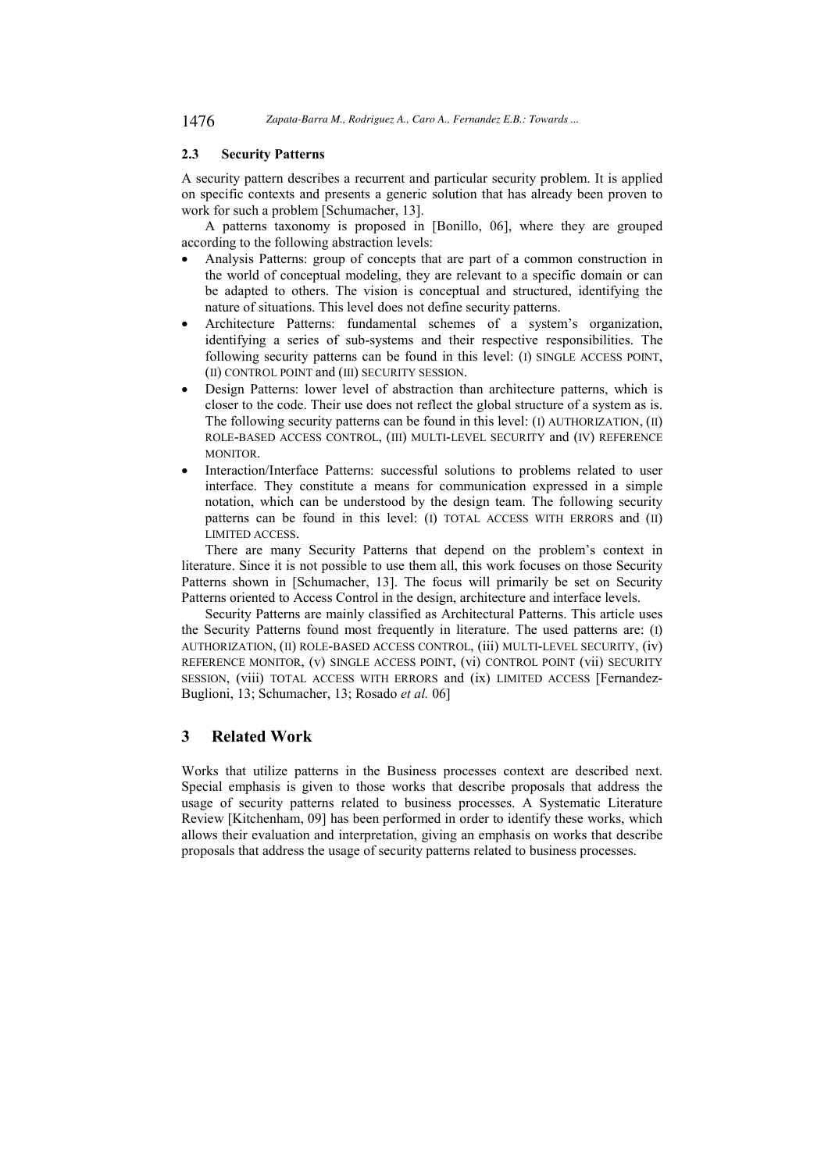# **2.3 Security Patterns**

A security pattern describes a recurrent and particular security problem. It is applied on specific contexts and presents a generic solution that has already been proven to work for such a problem [Schumacher, 13].

A patterns taxonomy is proposed in [Bonillo, 06], where they are grouped according to the following abstraction levels:

- Analysis Patterns: group of concepts that are part of a common construction in the world of conceptual modeling, they are relevant to a specific domain or can be adapted to others. The vision is conceptual and structured, identifying the nature of situations. This level does not define security patterns.
- Architecture Patterns: fundamental schemes of a system's organization, identifying a series of sub-systems and their respective responsibilities. The following security patterns can be found in this level: (I) SINGLE ACCESS POINT, (II) CONTROL POINT and (III) SECURITY SESSION.
- Design Patterns: lower level of abstraction than architecture patterns, which is closer to the code. Their use does not reflect the global structure of a system as is. The following security patterns can be found in this level: (I) AUTHORIZATION, (II) ROLE-BASED ACCESS CONTROL, (III) MULTI-LEVEL SECURITY and (IV) REFERENCE MONITOR.
- Interaction/Interface Patterns: successful solutions to problems related to user interface. They constitute a means for communication expressed in a simple notation, which can be understood by the design team. The following security patterns can be found in this level: (I) TOTAL ACCESS WITH ERRORS and (II) LIMITED ACCESS.

There are many Security Patterns that depend on the problem's context in literature. Since it is not possible to use them all, this work focuses on those Security Patterns shown in [Schumacher, 13]. The focus will primarily be set on Security Patterns oriented to Access Control in the design, architecture and interface levels.

Security Patterns are mainly classified as Architectural Patterns. This article uses the Security Patterns found most frequently in literature. The used patterns are: (I) AUTHORIZATION, (II) ROLE-BASED ACCESS CONTROL, (iii) MULTI-LEVEL SECURITY, (iv) REFERENCE MONITOR, (v) SINGLE ACCESS POINT, (vi) CONTROL POINT (vii) SECURITY SESSION, (viii) TOTAL ACCESS WITH ERRORS and (ix) LIMITED ACCESS [Fernandez-Buglioni, 13; Schumacher, 13; Rosado *et al.* 06]

# **3 Related Work**

Works that utilize patterns in the Business processes context are described next. Special emphasis is given to those works that describe proposals that address the usage of security patterns related to business processes. A Systematic Literature Review [Kitchenham, 09] has been performed in order to identify these works, which allows their evaluation and interpretation, giving an emphasis on works that describe proposals that address the usage of security patterns related to business processes.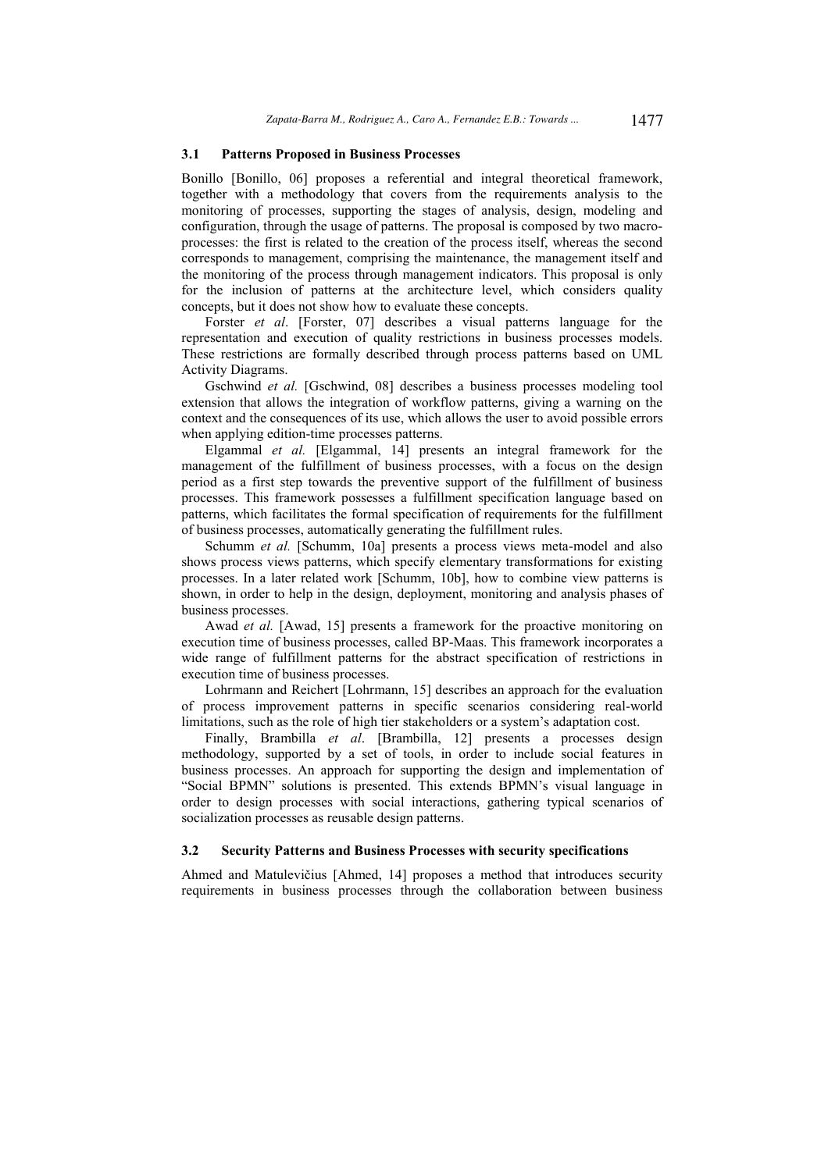### **3.1 Patterns Proposed in Business Processes**

Bonillo [Bonillo, 06] proposes a referential and integral theoretical framework, together with a methodology that covers from the requirements analysis to the monitoring of processes, supporting the stages of analysis, design, modeling and configuration, through the usage of patterns. The proposal is composed by two macroprocesses: the first is related to the creation of the process itself, whereas the second corresponds to management, comprising the maintenance, the management itself and the monitoring of the process through management indicators. This proposal is only for the inclusion of patterns at the architecture level, which considers quality concepts, but it does not show how to evaluate these concepts.

Forster *et al*. [Forster, 07] describes a visual patterns language for the representation and execution of quality restrictions in business processes models. These restrictions are formally described through process patterns based on UML Activity Diagrams.

Gschwind *et al.* [Gschwind, 08] describes a business processes modeling tool extension that allows the integration of workflow patterns, giving a warning on the context and the consequences of its use, which allows the user to avoid possible errors when applying edition-time processes patterns.

Elgammal *et al.* [Elgammal, 14] presents an integral framework for the management of the fulfillment of business processes, with a focus on the design period as a first step towards the preventive support of the fulfillment of business processes. This framework possesses a fulfillment specification language based on patterns, which facilitates the formal specification of requirements for the fulfillment of business processes, automatically generating the fulfillment rules.

Schumm *et al.* [Schumm, 10a] presents a process views meta-model and also shows process views patterns, which specify elementary transformations for existing processes. In a later related work [Schumm, 10b], how to combine view patterns is shown, in order to help in the design, deployment, monitoring and analysis phases of business processes.

Awad *et al.* [Awad, 15] presents a framework for the proactive monitoring on execution time of business processes, called BP-Maas. This framework incorporates a wide range of fulfillment patterns for the abstract specification of restrictions in execution time of business processes.

Lohrmann and Reichert [Lohrmann, 15] describes an approach for the evaluation of process improvement patterns in specific scenarios considering real-world limitations, such as the role of high tier stakeholders or a system's adaptation cost.

Finally, Brambilla *et al*. [Brambilla, 12] presents a processes design methodology, supported by a set of tools, in order to include social features in business processes. An approach for supporting the design and implementation of "Social BPMN" solutions is presented. This extends BPMN's visual language in order to design processes with social interactions, gathering typical scenarios of socialization processes as reusable design patterns.

### **3.2 Security Patterns and Business Processes with security specifications**

Ahmed and Matulevičius [Ahmed, 14] proposes a method that introduces security requirements in business processes through the collaboration between business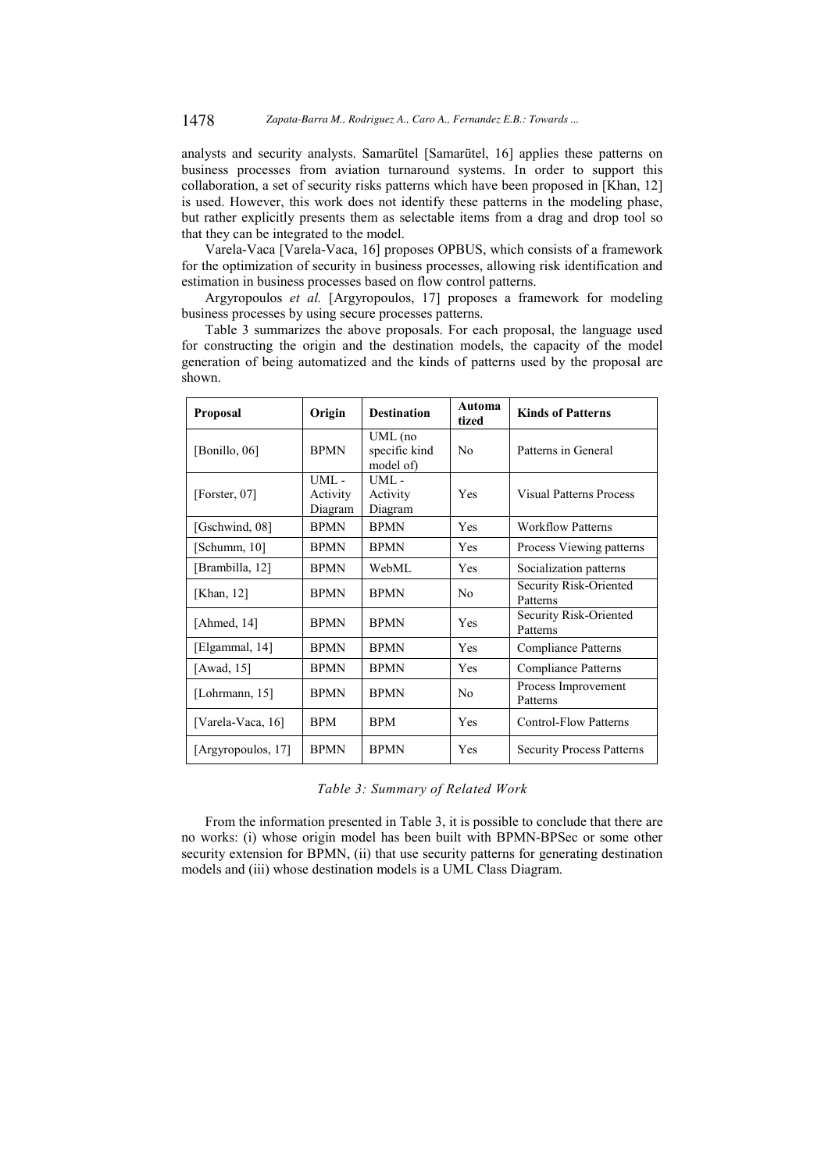analysts and security analysts. Samarütel [Samarütel, 16] applies these patterns on business processes from aviation turnaround systems. In order to support this collaboration, a set of security risks patterns which have been proposed in [Khan, 12] is used. However, this work does not identify these patterns in the modeling phase, but rather explicitly presents them as selectable items from a drag and drop tool so that they can be integrated to the model.

Varela-Vaca [Varela-Vaca, 16] proposes OPBUS, which consists of a framework for the optimization of security in business processes, allowing risk identification and estimation in business processes based on flow control patterns.

Argyropoulos *et al.* [Argyropoulos, 17] proposes a framework for modeling business processes by using secure processes patterns.

Table 3 summarizes the above proposals. For each proposal, the language used for constructing the origin and the destination models, the capacity of the model generation of being automatized and the kinds of patterns used by the proposal are shown.

| <b>Proposal</b>    | Origin                      | <b>Destination</b>                    | Automa<br>tized | <b>Kinds of Patterns</b>           |  |  |  |
|--------------------|-----------------------------|---------------------------------------|-----------------|------------------------------------|--|--|--|
| [Bonillo, 06]      | <b>BPMN</b>                 | UML (no<br>specific kind<br>model of) | N <sub>0</sub>  | Patterns in General                |  |  |  |
| [Forster, $07$ ]   | UML-<br>Activity<br>Diagram | UML -<br>Activity<br>Diagram          | Yes             | <b>Visual Patterns Process</b>     |  |  |  |
| [Gschwind, 08]     | <b>BPMN</b>                 | <b>BPMN</b>                           | Yes             | <b>Workflow Patterns</b>           |  |  |  |
| [Schumm, 10]       | <b>BPMN</b>                 | <b>BPMN</b>                           | Yes             | Process Viewing patterns           |  |  |  |
| [Brambilla, 12]    | <b>BPMN</b>                 | WebML                                 | Yes             | Socialization patterns             |  |  |  |
| [Khan, 12]         | <b>BPMN</b>                 | <b>BPMN</b>                           | N <sub>0</sub>  | Security Risk-Oriented<br>Patterns |  |  |  |
| [Ahmed, $14$ ]     | <b>BPMN</b>                 | <b>BPMN</b>                           | Yes             | Security Risk-Oriented<br>Patterns |  |  |  |
| [Elgammal, 14]     | <b>BPMN</b>                 | <b>BPMN</b>                           | Yes             | Compliance Patterns                |  |  |  |
| [Awad, 15]         | <b>BPMN</b>                 | <b>BPMN</b>                           | Yes             | Compliance Patterns                |  |  |  |
| [Lohrmann, 15]     | <b>BPMN</b>                 | <b>BPMN</b>                           | N <sub>0</sub>  | Process Improvement<br>Patterns    |  |  |  |
| [Varela-Vaca, 16]  | <b>BPM</b>                  | <b>BPM</b>                            | Yes             | <b>Control-Flow Patterns</b>       |  |  |  |
| [Argyropoulos, 17] | <b>BPMN</b>                 | <b>BPMN</b>                           | Yes             | <b>Security Process Patterns</b>   |  |  |  |

*Table 3: Summary of Related Work* 

From the information presented in Table 3, it is possible to conclude that there are no works: (i) whose origin model has been built with BPMN-BPSec or some other security extension for BPMN, (ii) that use security patterns for generating destination models and (iii) whose destination models is a UML Class Diagram.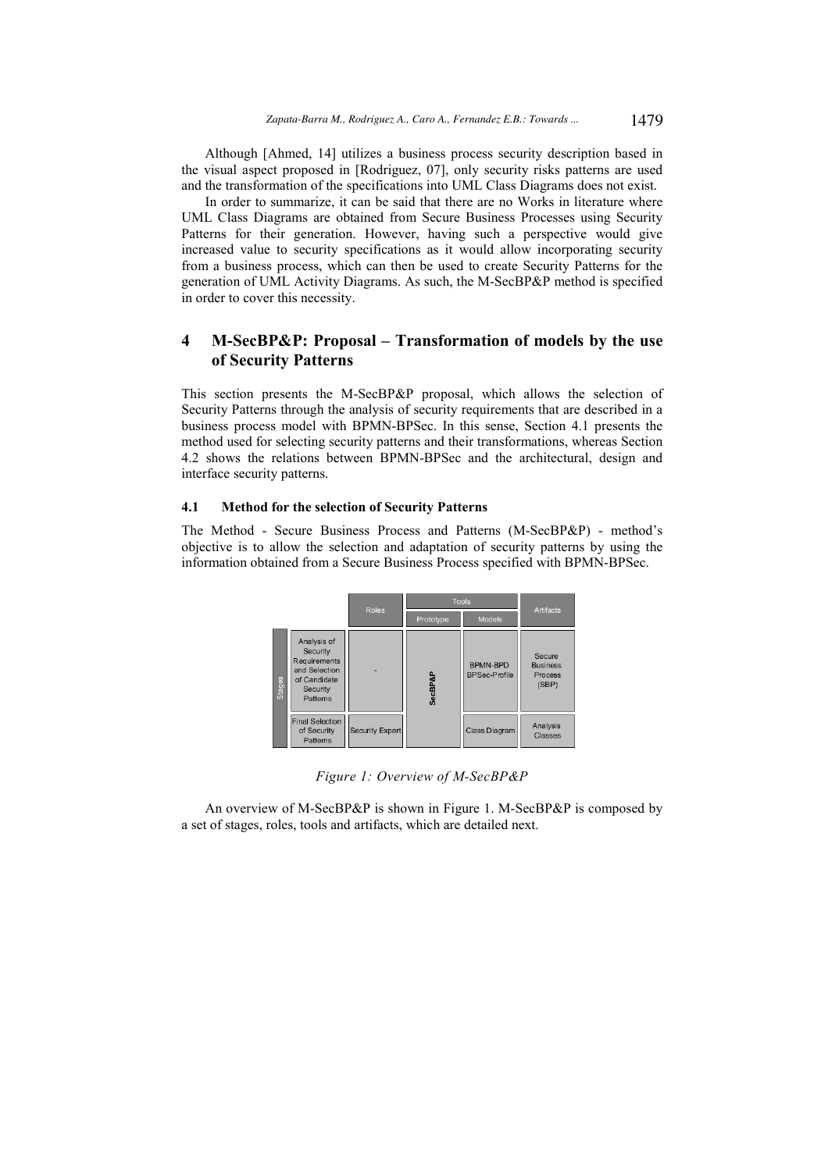Although [Ahmed, 14] utilizes a business process security description based in the visual aspect proposed in [Rodriguez, 07], only security risks patterns are used and the transformation of the specifications into UML Class Diagrams does not exist.

In order to summarize, it can be said that there are no Works in literature where UML Class Diagrams are obtained from Secure Business Processes using Security Patterns for their generation. However, having such a perspective would give increased value to security specifications as it would allow incorporating security from a business process, which can then be used to create Security Patterns for the generation of UML Activity Diagrams. As such, the M-SecBP&P method is specified in order to cover this necessity.

# **4 M-SecBP&P: Proposal – Transformation of models by the use of Security Patterns**

This section presents the M-SecBP&P proposal, which allows the selection of Security Patterns through the analysis of security requirements that are described in a business process model with BPMN-BPSec. In this sense, Section 4.1 presents the method used for selecting security patterns and their transformations, whereas Section 4.2 shows the relations between BPMN-BPSec and the architectural, design and interface security patterns.

### **4.1 Method for the selection of Security Patterns**

The Method - Secure Business Process and Patterns (M-SecBP&P) - method's objective is to allow the selection and adaptation of security patterns by using the information obtained from a Secure Business Process specified with BPMN-BPSec.

|               |                                                                                                 | <b>Roles</b>           | Tools   | <b>Artifacts</b>                        |                                                      |  |
|---------------|-------------------------------------------------------------------------------------------------|------------------------|---------|-----------------------------------------|------------------------------------------------------|--|
|               |                                                                                                 |                        |         | Models                                  |                                                      |  |
| <b>Stages</b> | Analysis of<br>Security<br>Requirements<br>and Selection<br>of Candidate<br>Security<br>Pattems |                        | SecBP&P | <b>BPMN-BPD</b><br><b>BPSec-Profile</b> | Secure<br><b>Business</b><br><b>Process</b><br>(SBP) |  |
|               | Final Selection<br>of Security<br>Pattems                                                       | <b>Security Expert</b> |         | Class Diagram                           | Analysis<br>Classes                                  |  |

*Figure 1: Overview of M-SecBP&P* 

An overview of M-SecBP&P is shown in Figure 1. M-SecBP&P is composed by a set of stages, roles, tools and artifacts, which are detailed next.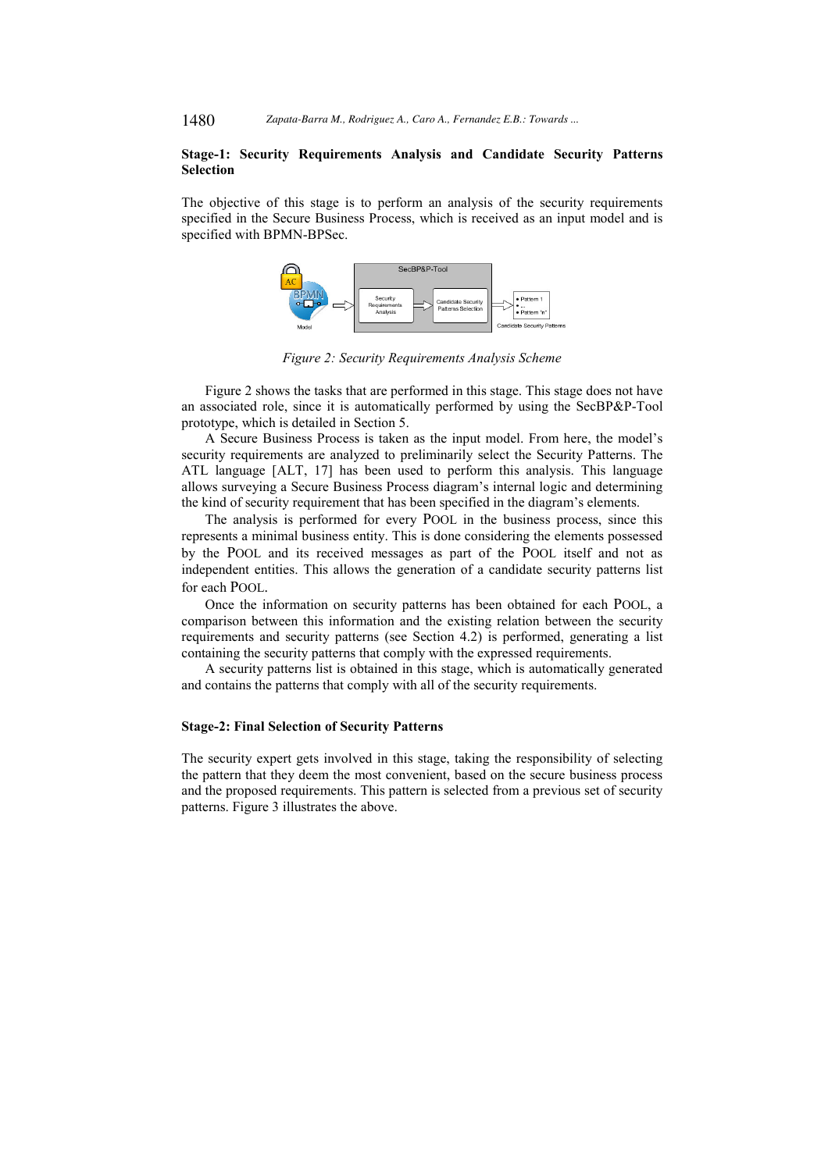1480 *Zapata-Barra M., Rodriguez A., Caro A., Fernandez E.B.: Towards ...*

### **Stage-1: Security Requirements Analysis and Candidate Security Patterns Selection**

The objective of this stage is to perform an analysis of the security requirements specified in the Secure Business Process, which is received as an input model and is specified with BPMN-BPSec.



*Figure 2: Security Requirements Analysis Scheme* 

Figure 2 shows the tasks that are performed in this stage. This stage does not have an associated role, since it is automatically performed by using the SecBP&P-Tool prototype, which is detailed in Section 5.

A Secure Business Process is taken as the input model. From here, the model's security requirements are analyzed to preliminarily select the Security Patterns. The ATL language [ALT, 17] has been used to perform this analysis. This language allows surveying a Secure Business Process diagram's internal logic and determining the kind of security requirement that has been specified in the diagram's elements.

The analysis is performed for every POOL in the business process, since this represents a minimal business entity. This is done considering the elements possessed by the POOL and its received messages as part of the POOL itself and not as independent entities. This allows the generation of a candidate security patterns list for each POOL.

Once the information on security patterns has been obtained for each POOL, a comparison between this information and the existing relation between the security requirements and security patterns (see Section 4.2) is performed, generating a list containing the security patterns that comply with the expressed requirements.

A security patterns list is obtained in this stage, which is automatically generated and contains the patterns that comply with all of the security requirements.

#### **Stage-2: Final Selection of Security Patterns**

The security expert gets involved in this stage, taking the responsibility of selecting the pattern that they deem the most convenient, based on the secure business process and the proposed requirements. This pattern is selected from a previous set of security patterns. Figure 3 illustrates the above.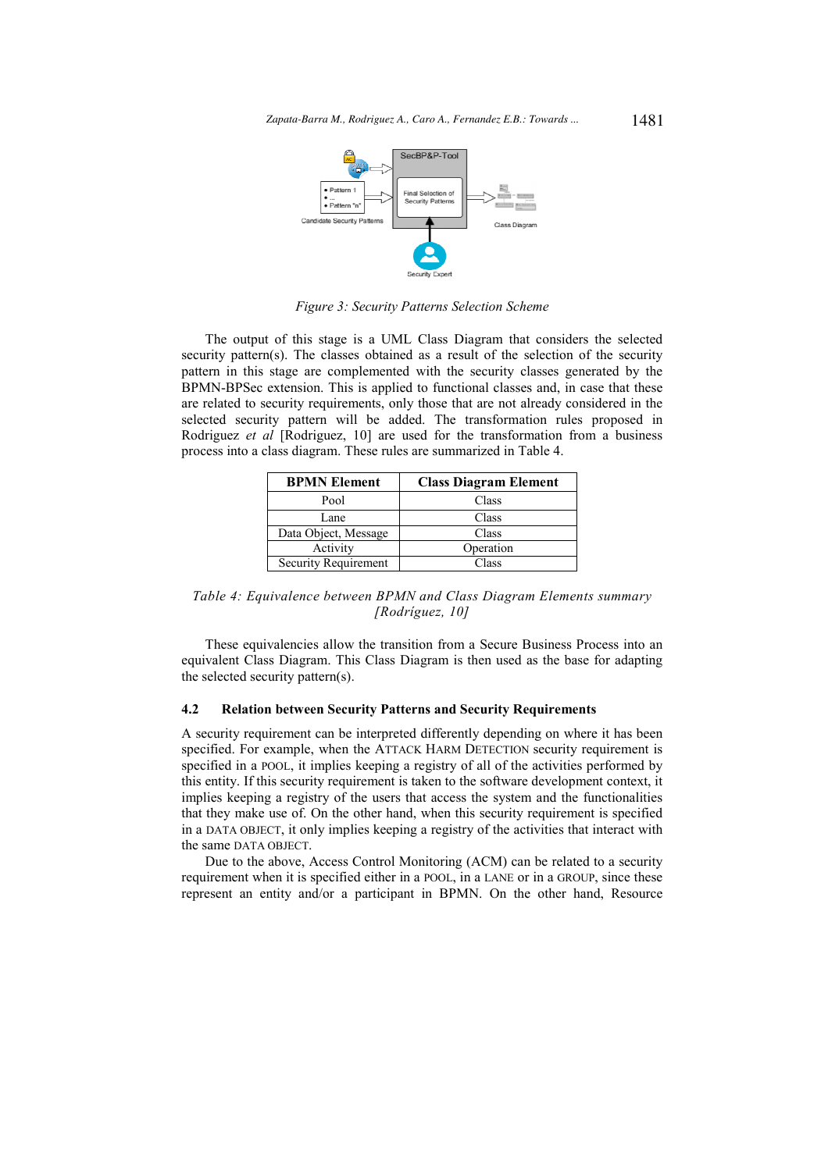

*Figure 3: Security Patterns Selection Scheme* 

The output of this stage is a UML Class Diagram that considers the selected security pattern(s). The classes obtained as a result of the selection of the security pattern in this stage are complemented with the security classes generated by the BPMN-BPSec extension. This is applied to functional classes and, in case that these are related to security requirements, only those that are not already considered in the selected security pattern will be added. The transformation rules proposed in Rodriguez *et al* [Rodriguez, 10] are used for the transformation from a business process into a class diagram. These rules are summarized in Table 4.

| <b>BPMN</b> Element  | <b>Class Diagram Element</b> |
|----------------------|------------------------------|
| Pool                 | Class                        |
| Lane                 | Class                        |
| Data Object, Message | Class                        |
| Activity             | Operation                    |
| Security Requirement | Class                        |

*Table 4: Equivalence between BPMN and Class Diagram Elements summary [Rodríguez, 10]* 

These equivalencies allow the transition from a Secure Business Process into an equivalent Class Diagram. This Class Diagram is then used as the base for adapting the selected security pattern(s).

### **4.2 Relation between Security Patterns and Security Requirements**

A security requirement can be interpreted differently depending on where it has been specified. For example, when the ATTACK HARM DETECTION security requirement is specified in a POOL, it implies keeping a registry of all of the activities performed by this entity. If this security requirement is taken to the software development context, it implies keeping a registry of the users that access the system and the functionalities that they make use of. On the other hand, when this security requirement is specified in a DATA OBJECT, it only implies keeping a registry of the activities that interact with the same DATA OBJECT.

Due to the above, Access Control Monitoring (ACM) can be related to a security requirement when it is specified either in a POOL, in a LANE or in a GROUP, since these represent an entity and/or a participant in BPMN. On the other hand, Resource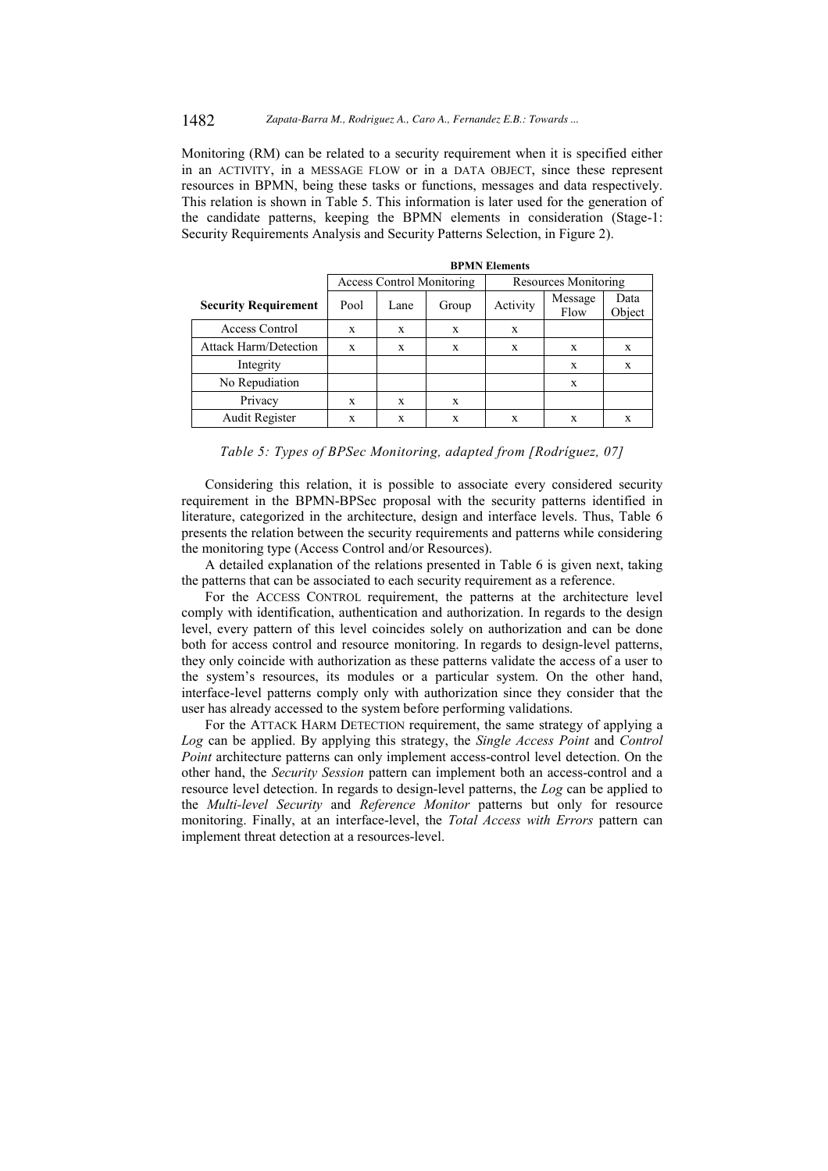Monitoring (RM) can be related to a security requirement when it is specified either in an ACTIVITY, in a MESSAGE FLOW or in a DATA OBJECT, since these represent resources in BPMN, being these tasks or functions, messages and data respectively. This relation is shown in Table 5. This information is later used for the generation of the candidate patterns, keeping the BPMN elements in consideration (Stage-1: Security Requirements Analysis and Security Patterns Selection, in Figure 2).

|                              | <b>BPMN Elements</b>             |      |       |                      |   |                |  |
|------------------------------|----------------------------------|------|-------|----------------------|---|----------------|--|
|                              | <b>Access Control Monitoring</b> |      |       | Resources Monitoring |   |                |  |
| <b>Security Requirement</b>  | Pool                             | Lane | Group | Activity             |   | Data<br>Object |  |
| Access Control               | X                                | X    | X     | X                    |   |                |  |
| <b>Attack Harm/Detection</b> | X                                | X    | X     | X                    | X | X              |  |
| Integrity                    |                                  |      |       |                      | X | X              |  |
| No Repudiation               |                                  |      |       |                      | X |                |  |
| Privacy                      | X                                | X    | X     |                      |   |                |  |
| Audit Register               | X                                | X    | X     | X                    | X | X              |  |

*Table 5: Types of BPSec Monitoring, adapted from [Rodríguez, 07]* 

Considering this relation, it is possible to associate every considered security requirement in the BPMN-BPSec proposal with the security patterns identified in literature, categorized in the architecture, design and interface levels. Thus, Table 6 presents the relation between the security requirements and patterns while considering the monitoring type (Access Control and/or Resources).

A detailed explanation of the relations presented in Table 6 is given next, taking the patterns that can be associated to each security requirement as a reference.

For the ACCESS CONTROL requirement, the patterns at the architecture level comply with identification, authentication and authorization. In regards to the design level, every pattern of this level coincides solely on authorization and can be done both for access control and resource monitoring. In regards to design-level patterns, they only coincide with authorization as these patterns validate the access of a user to the system's resources, its modules or a particular system. On the other hand, interface-level patterns comply only with authorization since they consider that the user has already accessed to the system before performing validations.

For the ATTACK HARM DETECTION requirement, the same strategy of applying a *Log* can be applied. By applying this strategy, the *Single Access Point* and *Control Point* architecture patterns can only implement access-control level detection. On the other hand, the *Security Session* pattern can implement both an access-control and a resource level detection. In regards to design-level patterns, the *Log* can be applied to the *Multi-level Security* and *Reference Monitor* patterns but only for resource monitoring. Finally, at an interface-level, the *Total Access with Errors* pattern can implement threat detection at a resources-level.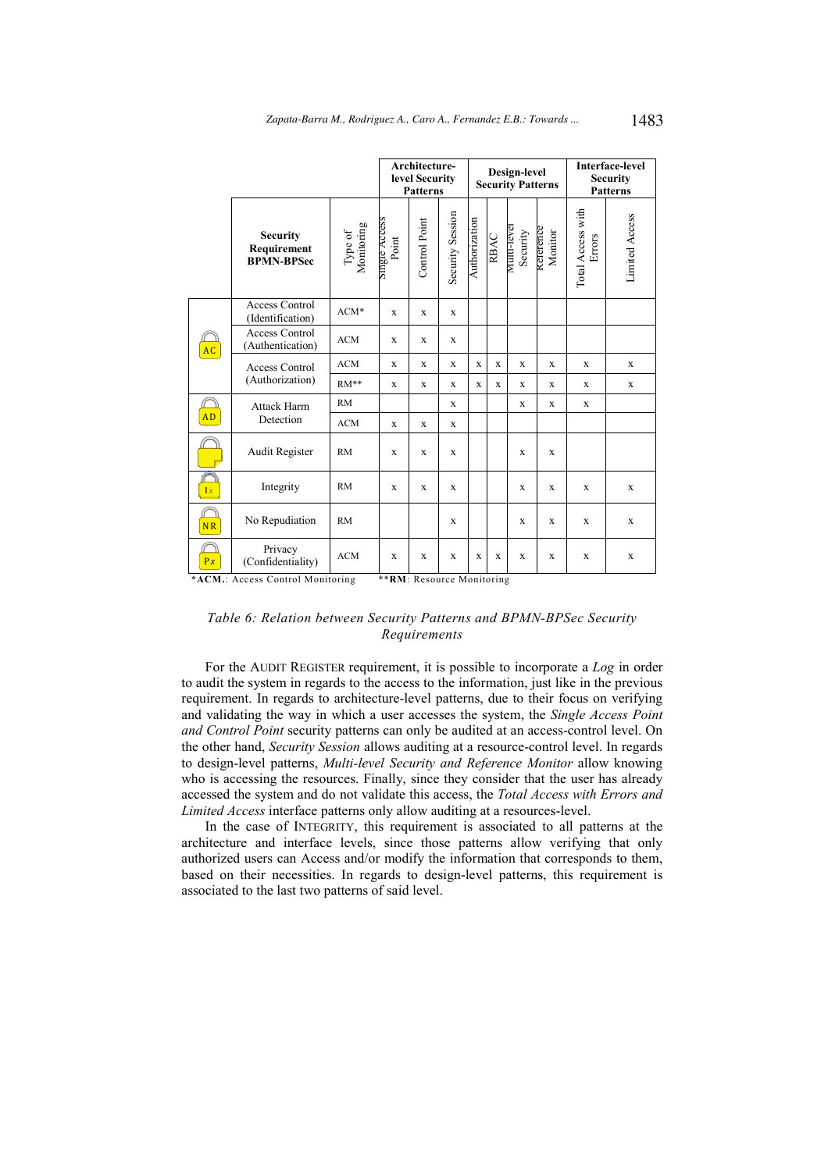|                                                               |                                                     |                       | Architecture-<br>level Security<br><b>Patterns</b> |               | Design-level<br><b>Security Patterns</b> |               |             |                                | <b>Interface-level</b><br><b>Security</b><br><b>Patterns</b> |                             |                |
|---------------------------------------------------------------|-----------------------------------------------------|-----------------------|----------------------------------------------------|---------------|------------------------------------------|---------------|-------------|--------------------------------|--------------------------------------------------------------|-----------------------------|----------------|
|                                                               | <b>Security</b><br>Requirement<br><b>BPMN-BPSec</b> | Type of<br>Monitoring | Single Access<br>Point                             | Control Point | Security Session                         | Authorization | RBAC        | <b>Multi-level</b><br>Security | Keterence<br>Monitor                                         | Total Access with<br>Errors | Limited Access |
|                                                               | <b>Access Control</b><br>(Identification)           | $ACM*$                | $\mathbf x$                                        | $\mathbf{x}$  | $\mathbf x$                              |               |             |                                |                                                              |                             |                |
| <b>AC</b>                                                     | <b>Access Control</b><br>(Authentication)           | <b>ACM</b>            | X                                                  | $\mathbf x$   | X                                        |               |             |                                |                                                              |                             |                |
|                                                               | <b>Access Control</b><br>(Authorization)            | ACM                   | X                                                  | $\mathbf x$   | X                                        | $\mathbf x$   | X           | $\mathbf x$                    | X                                                            | X                           | X              |
|                                                               |                                                     | $RM**$                | $\mathbf X$                                        | $\mathbf x$   | $\mathbf X$                              | $\mathbf x$   | X           | $\mathbf x$                    | $\mathbf X$                                                  | $\mathbf X$                 | $\mathbf X$    |
|                                                               | <b>Attack Harm</b><br>Detection                     | <b>RM</b>             |                                                    |               | X                                        |               |             | X                              | X                                                            | $\mathbf x$                 |                |
| <b>AD</b>                                                     |                                                     | <b>ACM</b>            | X                                                  | $\mathbf x$   | $\mathbf x$                              |               |             |                                |                                                              |                             |                |
|                                                               | Audit Register                                      | <b>RM</b>             | $\mathbf x$                                        | X             | $\mathbf x$                              |               |             | X                              | X                                                            |                             |                |
| <b>Dr</b>                                                     | Integrity                                           | <b>RM</b>             | $\mathbf x$                                        | $\mathbf{x}$  | $\mathbf X$                              |               |             | $\mathbf X$                    | $\mathbf X$                                                  | $\mathbf X$                 | $\mathbf X$    |
| <b>NR</b>                                                     | No Repudiation                                      | <b>RM</b>             |                                                    |               | $\mathbf x$                              |               |             | $\mathbf x$                    | $\mathbf{X}$                                                 | $\mathbf x$                 | $\mathbf X$    |
| Px                                                            | Privacy<br>(Confidentiality)                        | <b>ACM</b>            | $\mathbf x$                                        | $\mathbf x$   | $\mathbf x$                              | $\mathbf x$   | $\mathbf x$ | $\mathbf x$                    | $\mathbf x$                                                  | $\mathbf x$                 | $\mathbf X$    |
| *ACM.: Access Control Monitoring<br>**RM: Resource Monitoring |                                                     |                       |                                                    |               |                                          |               |             |                                |                                                              |                             |                |

*Table 6: Relation between Security Patterns and BPMN-BPSec Security Requirements* 

For the AUDIT REGISTER requirement, it is possible to incorporate a *Log* in order to audit the system in regards to the access to the information, just like in the previous requirement. In regards to architecture-level patterns, due to their focus on verifying and validating the way in which a user accesses the system, the *Single Access Point and Control Point* security patterns can only be audited at an access-control level. On the other hand, *Security Session* allows auditing at a resource-control level. In regards to design-level patterns, *Multi-level Security and Reference Monitor* allow knowing who is accessing the resources. Finally, since they consider that the user has already accessed the system and do not validate this access, the *Total Access with Errors and Limited Access* interface patterns only allow auditing at a resources-level.

In the case of INTEGRITY, this requirement is associated to all patterns at the architecture and interface levels, since those patterns allow verifying that only authorized users can Access and/or modify the information that corresponds to them, based on their necessities. In regards to design-level patterns, this requirement is associated to the last two patterns of said level.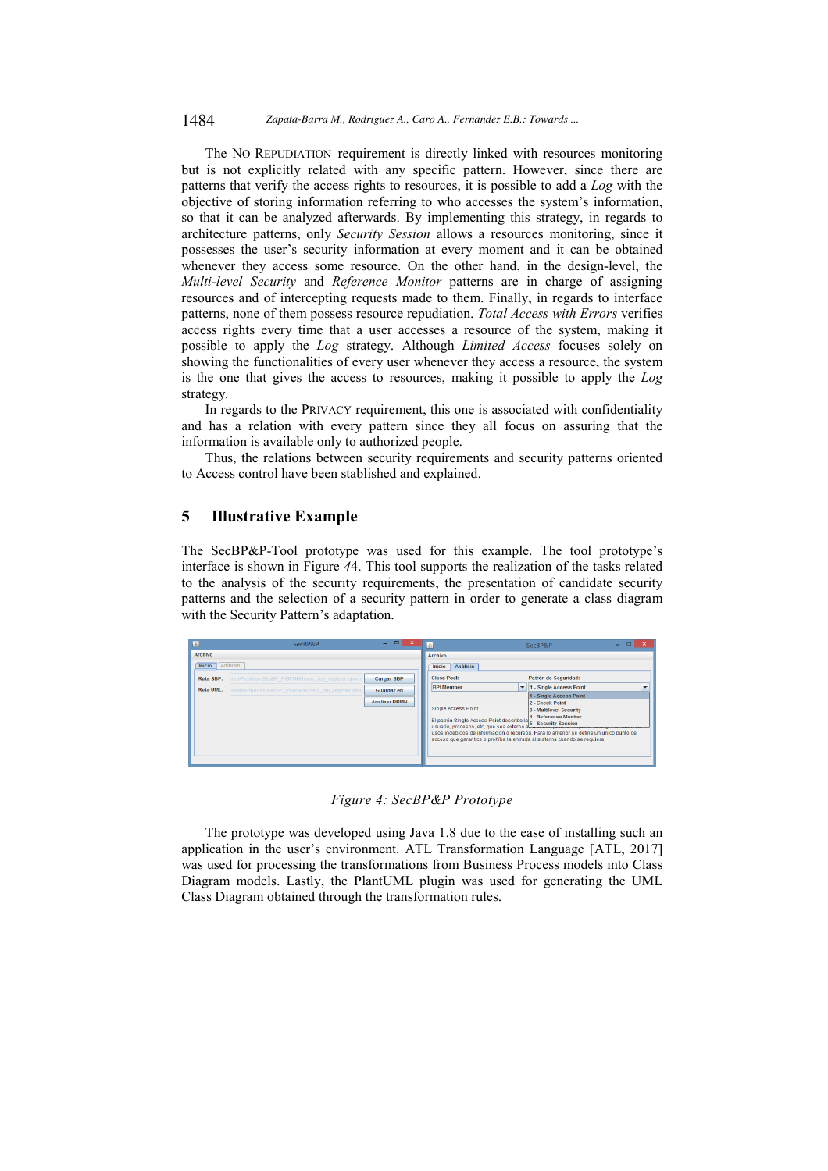#### 1484 *Zapata-Barra M., Rodriguez A., Caro A., Fernandez E.B.: Towards ...*

The NO REPUDIATION requirement is directly linked with resources monitoring but is not explicitly related with any specific pattern. However, since there are patterns that verify the access rights to resources, it is possible to add a *Log* with the objective of storing information referring to who accesses the system's information, so that it can be analyzed afterwards. By implementing this strategy, in regards to architecture patterns, only *Security Session* allows a resources monitoring, since it possesses the user's security information at every moment and it can be obtained whenever they access some resource. On the other hand, in the design-level, the *Multi-level Security* and *Reference Monitor* patterns are in charge of assigning resources and of intercepting requests made to them. Finally, in regards to interface patterns, none of them possess resource repudiation. *Total Access with Errors* verifies access rights every time that a user accesses a resource of the system, making it possible to apply the *Log* strategy. Although *Limited Access* focuses solely on showing the functionalities of every user whenever they access a resource, the system is the one that gives the access to resources, making it possible to apply the *Log* strategy*.* 

In regards to the PRIVACY requirement, this one is associated with confidentiality and has a relation with every pattern since they all focus on assuring that the information is available only to authorized people.

Thus, the relations between security requirements and security patterns oriented to Access control have been stablished and explained.

# **5 Illustrative Example**

The SecBP&P-Tool prototype was used for this example. The tool prototype's interface is shown in Figure *4*4. This tool supports the realization of the tasks related to the analysis of the security requirements, the presentation of candidate security patterns and the selection of a security pattern in order to generate a class diagram with the Security Pattern's adaptation.

*Figure 4: SecBP&P Prototype* 

The prototype was developed using Java 1.8 due to the ease of installing such an application in the user's environment. ATL Transformation Language [ATL, 2017] was used for processing the transformations from Business Process models into Class Diagram models. Lastly, the PlantUML plugin was used for generating the UML Class Diagram obtained through the transformation rules.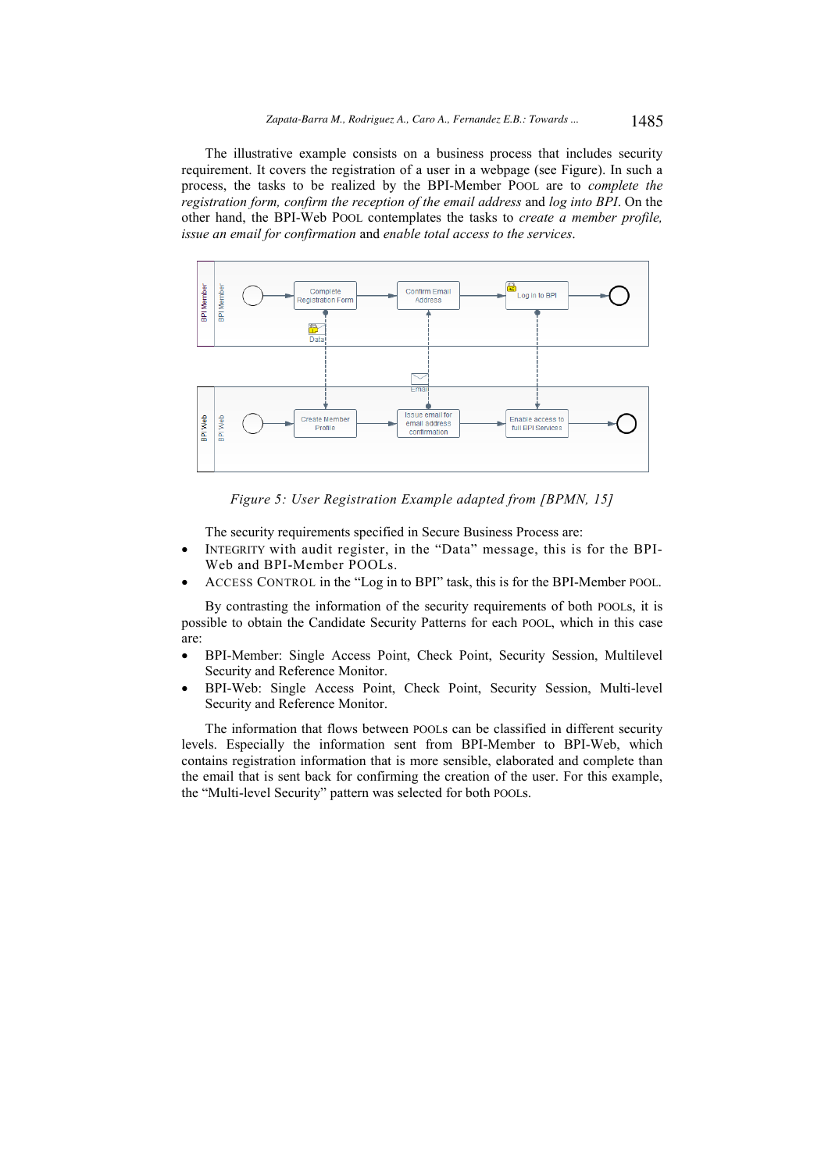The illustrative example consists on a business process that includes security requirement. It covers the registration of a user in a webpage (see Figure). In such a process, the tasks to be realized by the BPI-Member POOL are to *complete the registration form, confirm the reception of the email address* and *log into BPI*. On the other hand, the BPI-Web POOL contemplates the tasks to *create a member profile, issue an email for confirmation* and *enable total access to the services*.



*Figure 5: User Registration Example adapted from [BPMN, 15]* 

The security requirements specified in Secure Business Process are:

- INTEGRITY with audit register, in the "Data" message, this is for the BPI-Web and BPI-Member POOLs.
- ACCESS CONTROL in the "Log in to BPI" task, this is for the BPI-Member POOL.

By contrasting the information of the security requirements of both POOLs, it is possible to obtain the Candidate Security Patterns for each POOL, which in this case are:

- BPI-Member: Single Access Point, Check Point, Security Session, Multilevel Security and Reference Monitor.
- BPI-Web: Single Access Point, Check Point, Security Session, Multi-level Security and Reference Monitor.

The information that flows between POOLs can be classified in different security levels. Especially the information sent from BPI-Member to BPI-Web, which contains registration information that is more sensible, elaborated and complete than the email that is sent back for confirming the creation of the user. For this example, the "Multi-level Security" pattern was selected for both POOLs.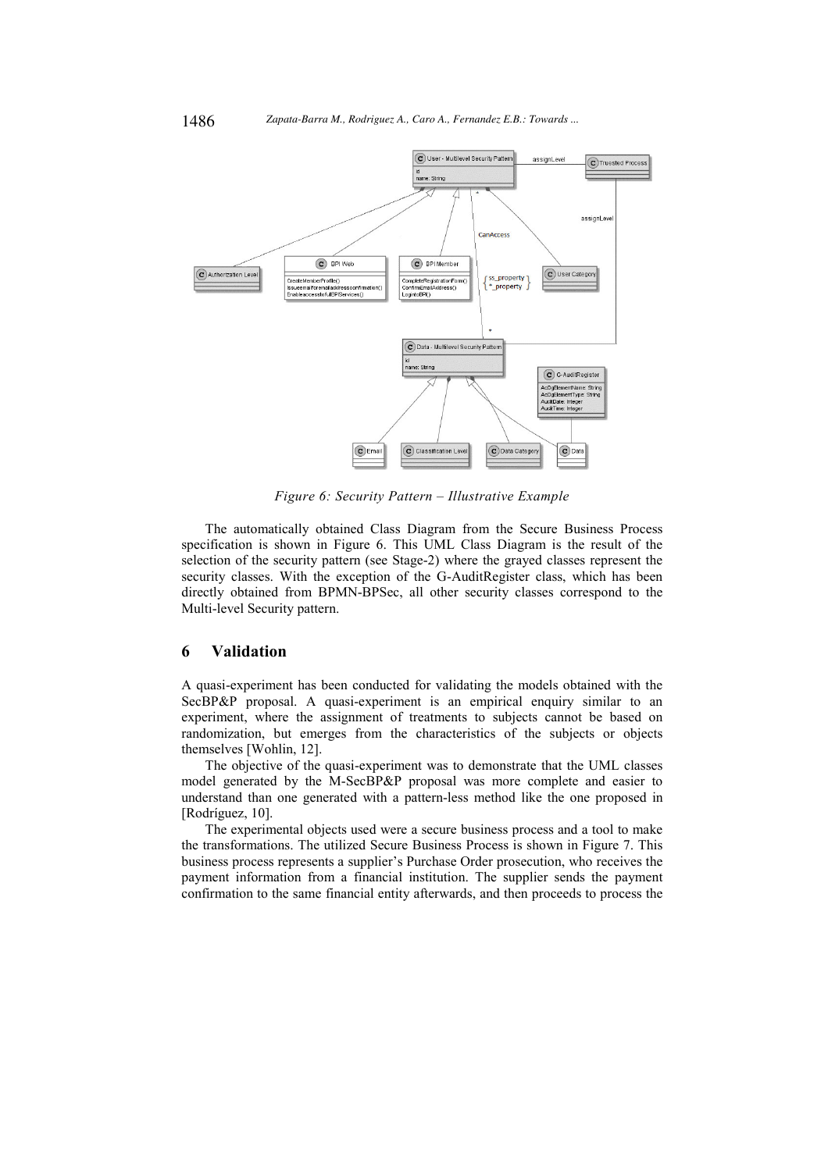

*Figure 6: Security Pattern – Illustrative Example* 

The automatically obtained Class Diagram from the Secure Business Process specification is shown in Figure 6. This UML Class Diagram is the result of the selection of the security pattern (see Stage-2) where the grayed classes represent the security classes. With the exception of the G-AuditRegister class, which has been directly obtained from BPMN-BPSec, all other security classes correspond to the Multi-level Security pattern.

# **6 Validation**

A quasi-experiment has been conducted for validating the models obtained with the SecBP&P proposal. A quasi-experiment is an empirical enquiry similar to an experiment, where the assignment of treatments to subjects cannot be based on randomization, but emerges from the characteristics of the subjects or objects themselves [Wohlin, 12].

The objective of the quasi-experiment was to demonstrate that the UML classes model generated by the M-SecBP&P proposal was more complete and easier to understand than one generated with a pattern-less method like the one proposed in [Rodríguez, 10].

The experimental objects used were a secure business process and a tool to make the transformations. The utilized Secure Business Process is shown in Figure 7. This business process represents a supplier's Purchase Order prosecution, who receives the payment information from a financial institution. The supplier sends the payment confirmation to the same financial entity afterwards, and then proceeds to process the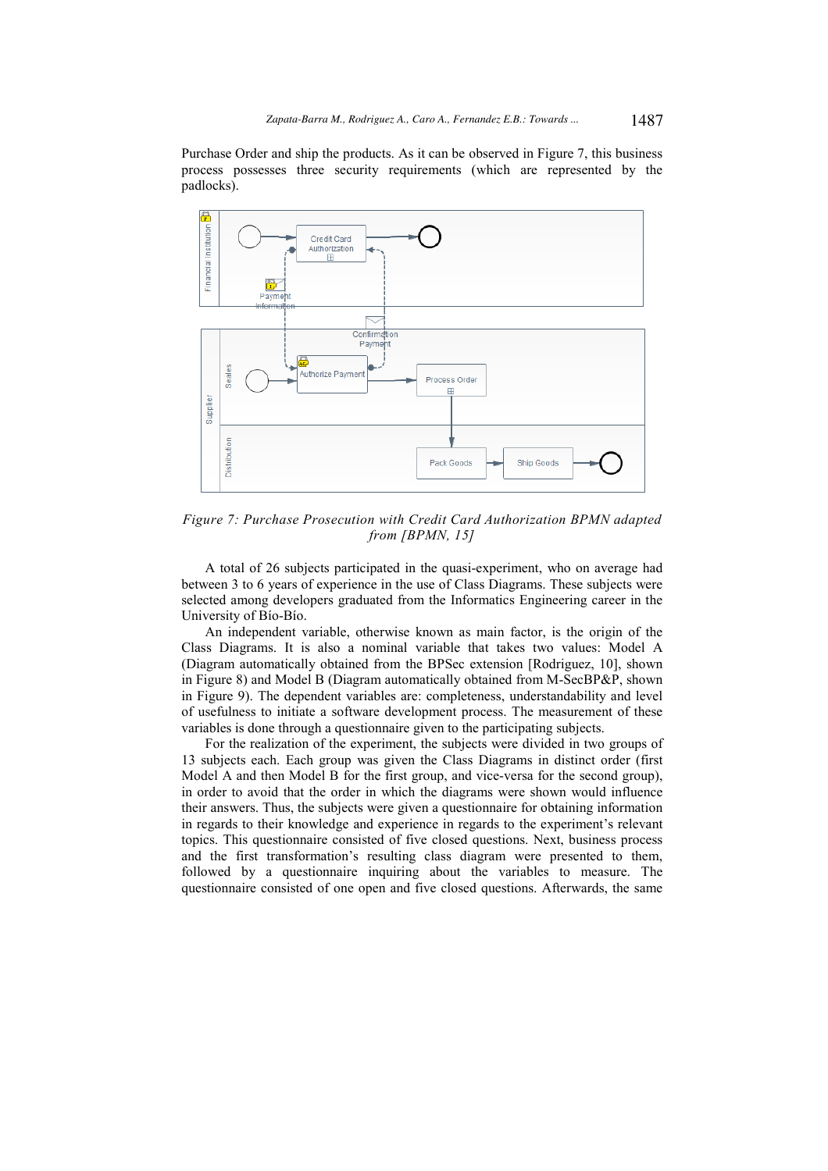Purchase Order and ship the products. As it can be observed in Figure 7, this business process possesses three security requirements (which are represented by the padlocks).



*Figure 7: Purchase Prosecution with Credit Card Authorization BPMN adapted from [BPMN, 15]* 

A total of 26 subjects participated in the quasi-experiment, who on average had between 3 to 6 years of experience in the use of Class Diagrams. These subjects were selected among developers graduated from the Informatics Engineering career in the University of Bío-Bío.

An independent variable, otherwise known as main factor, is the origin of the Class Diagrams. It is also a nominal variable that takes two values: Model A (Diagram automatically obtained from the BPSec extension [Rodriguez, 10], shown in Figure 8) and Model B (Diagram automatically obtained from M-SecBP&P, shown in Figure 9). The dependent variables are: completeness, understandability and level of usefulness to initiate a software development process. The measurement of these variables is done through a questionnaire given to the participating subjects.

For the realization of the experiment, the subjects were divided in two groups of 13 subjects each. Each group was given the Class Diagrams in distinct order (first Model A and then Model B for the first group, and vice-versa for the second group), in order to avoid that the order in which the diagrams were shown would influence their answers. Thus, the subjects were given a questionnaire for obtaining information in regards to their knowledge and experience in regards to the experiment's relevant topics. This questionnaire consisted of five closed questions. Next, business process and the first transformation's resulting class diagram were presented to them, followed by a questionnaire inquiring about the variables to measure. The questionnaire consisted of one open and five closed questions. Afterwards, the same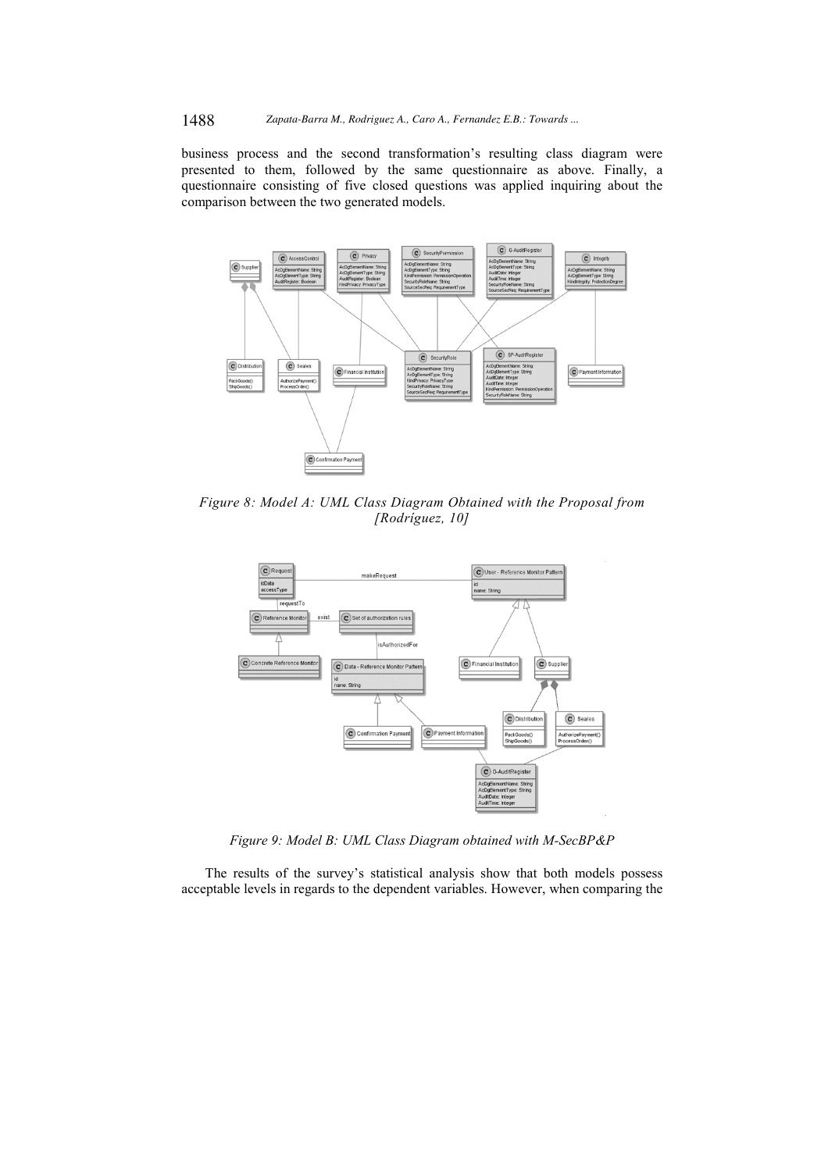business process and the second transformation's resulting class diagram were presented to them, followed by the same questionnaire as above. Finally, a questionnaire consisting of five closed questions was applied inquiring about the comparison between the two generated models.



*Figure 8: Model A: UML Class Diagram Obtained with the Proposal from [Rodríguez, 10]* 



*Figure 9: Model B: UML Class Diagram obtained with M-SecBP&P* 

The results of the survey's statistical analysis show that both models possess acceptable levels in regards to the dependent variables. However, when comparing the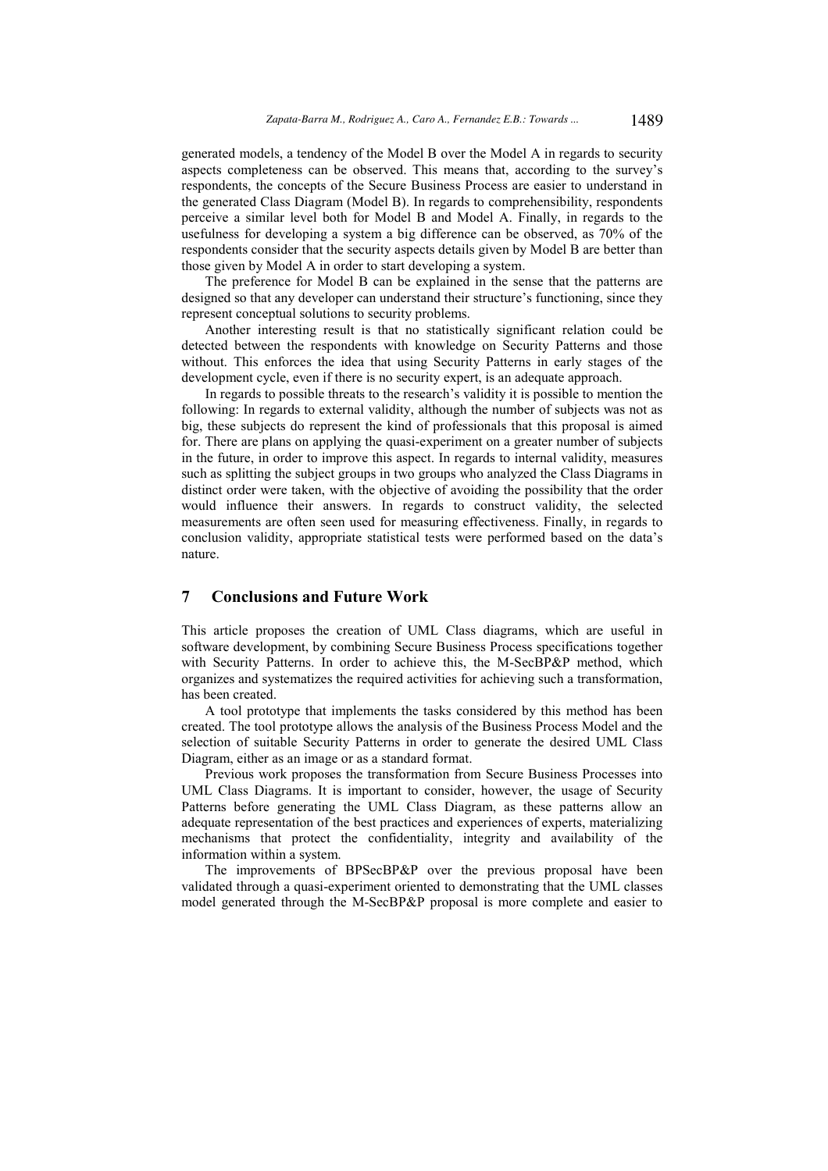generated models, a tendency of the Model B over the Model A in regards to security aspects completeness can be observed. This means that, according to the survey's respondents, the concepts of the Secure Business Process are easier to understand in the generated Class Diagram (Model B). In regards to comprehensibility, respondents perceive a similar level both for Model B and Model A. Finally, in regards to the usefulness for developing a system a big difference can be observed, as 70% of the respondents consider that the security aspects details given by Model B are better than those given by Model A in order to start developing a system.

The preference for Model B can be explained in the sense that the patterns are designed so that any developer can understand their structure's functioning, since they represent conceptual solutions to security problems.

Another interesting result is that no statistically significant relation could be detected between the respondents with knowledge on Security Patterns and those without. This enforces the idea that using Security Patterns in early stages of the development cycle, even if there is no security expert, is an adequate approach.

In regards to possible threats to the research's validity it is possible to mention the following: In regards to external validity, although the number of subjects was not as big, these subjects do represent the kind of professionals that this proposal is aimed for. There are plans on applying the quasi-experiment on a greater number of subjects in the future, in order to improve this aspect. In regards to internal validity, measures such as splitting the subject groups in two groups who analyzed the Class Diagrams in distinct order were taken, with the objective of avoiding the possibility that the order would influence their answers. In regards to construct validity, the selected measurements are often seen used for measuring effectiveness. Finally, in regards to conclusion validity, appropriate statistical tests were performed based on the data's nature.

### **7 Conclusions and Future Work**

This article proposes the creation of UML Class diagrams, which are useful in software development, by combining Secure Business Process specifications together with Security Patterns. In order to achieve this, the M-SecBP&P method, which organizes and systematizes the required activities for achieving such a transformation, has been created.

A tool prototype that implements the tasks considered by this method has been created. The tool prototype allows the analysis of the Business Process Model and the selection of suitable Security Patterns in order to generate the desired UML Class Diagram, either as an image or as a standard format.

Previous work proposes the transformation from Secure Business Processes into UML Class Diagrams. It is important to consider, however, the usage of Security Patterns before generating the UML Class Diagram, as these patterns allow an adequate representation of the best practices and experiences of experts, materializing mechanisms that protect the confidentiality, integrity and availability of the information within a system.

The improvements of BPSecBP&P over the previous proposal have been validated through a quasi-experiment oriented to demonstrating that the UML classes model generated through the M-SecBP&P proposal is more complete and easier to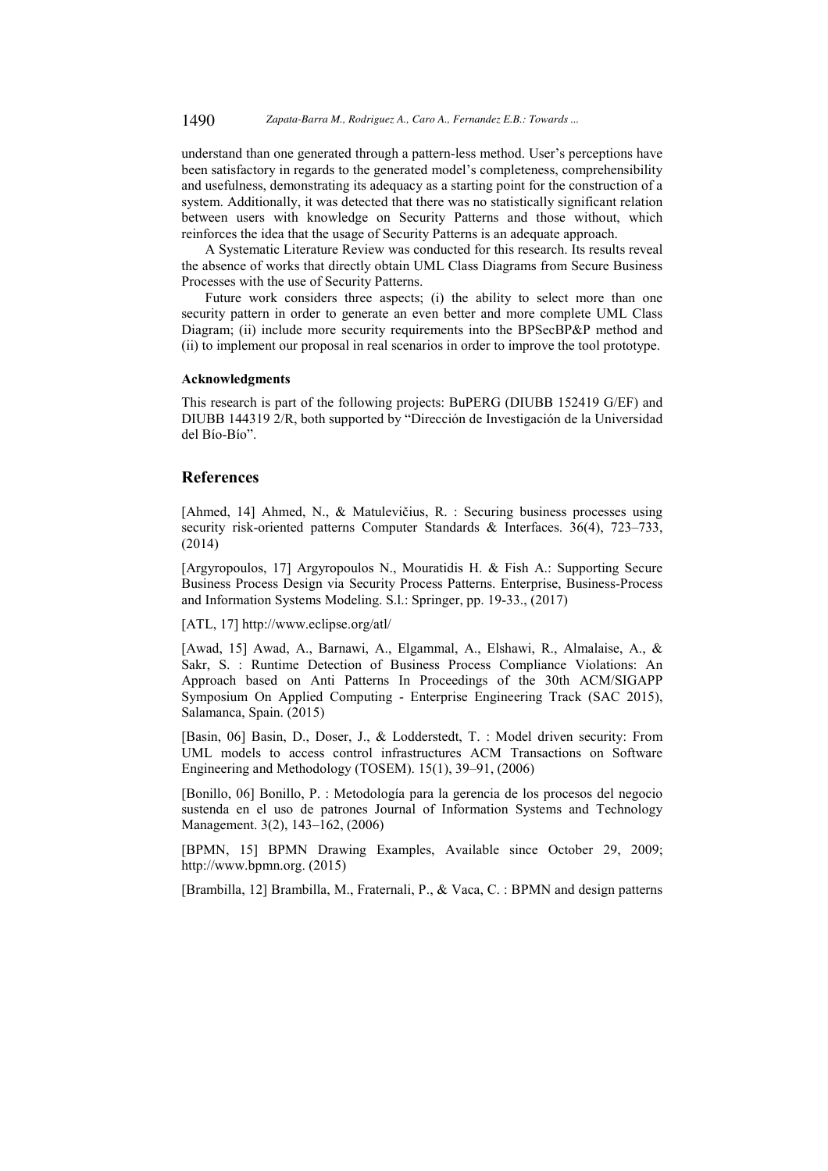understand than one generated through a pattern-less method. User's perceptions have been satisfactory in regards to the generated model's completeness, comprehensibility and usefulness, demonstrating its adequacy as a starting point for the construction of a system. Additionally, it was detected that there was no statistically significant relation between users with knowledge on Security Patterns and those without, which reinforces the idea that the usage of Security Patterns is an adequate approach.

A Systematic Literature Review was conducted for this research. Its results reveal the absence of works that directly obtain UML Class Diagrams from Secure Business Processes with the use of Security Patterns.

Future work considers three aspects; (i) the ability to select more than one security pattern in order to generate an even better and more complete UML Class Diagram; (ii) include more security requirements into the BPSecBP&P method and (ii) to implement our proposal in real scenarios in order to improve the tool prototype.

### **Acknowledgments**

This research is part of the following projects: BuPERG (DIUBB 152419 G/EF) and DIUBB 144319 2/R, both supported by "Dirección de Investigación de la Universidad del Bío-Bío".

# **References**

[Ahmed, 14] Ahmed, N., & Matulevičius, R. : Securing business processes using security risk-oriented patterns Computer Standards & Interfaces. 36(4), 723–733, (2014)

[Argyropoulos, 17] Argyropoulos N., Mouratidis H. & Fish A.: Supporting Secure Business Process Design via Security Process Patterns. Enterprise, Business-Process and Information Systems Modeling. S.l.: Springer, pp. 19-33., (2017)

[ATL, 17] http://www.eclipse.org/atl/

[Awad, 15] Awad, A., Barnawi, A., Elgammal, A., Elshawi, R., Almalaise, A., & Sakr, S. : Runtime Detection of Business Process Compliance Violations: An Approach based on Anti Patterns In Proceedings of the 30th ACM/SIGAPP Symposium On Applied Computing - Enterprise Engineering Track (SAC 2015), Salamanca, Spain. (2015)

[Basin, 06] Basin, D., Doser, J., & Lodderstedt, T. : Model driven security: From UML models to access control infrastructures ACM Transactions on Software Engineering and Methodology (TOSEM). 15(1), 39–91, (2006)

[Bonillo, 06] Bonillo, P. : Metodología para la gerencia de los procesos del negocio sustenda en el uso de patrones Journal of Information Systems and Technology Management. 3(2), 143–162, (2006)

[BPMN, 15] BPMN Drawing Examples, Available since October 29, 2009; http://www.bpmn.org. (2015)

[Brambilla, 12] Brambilla, M., Fraternali, P., & Vaca, C. : BPMN and design patterns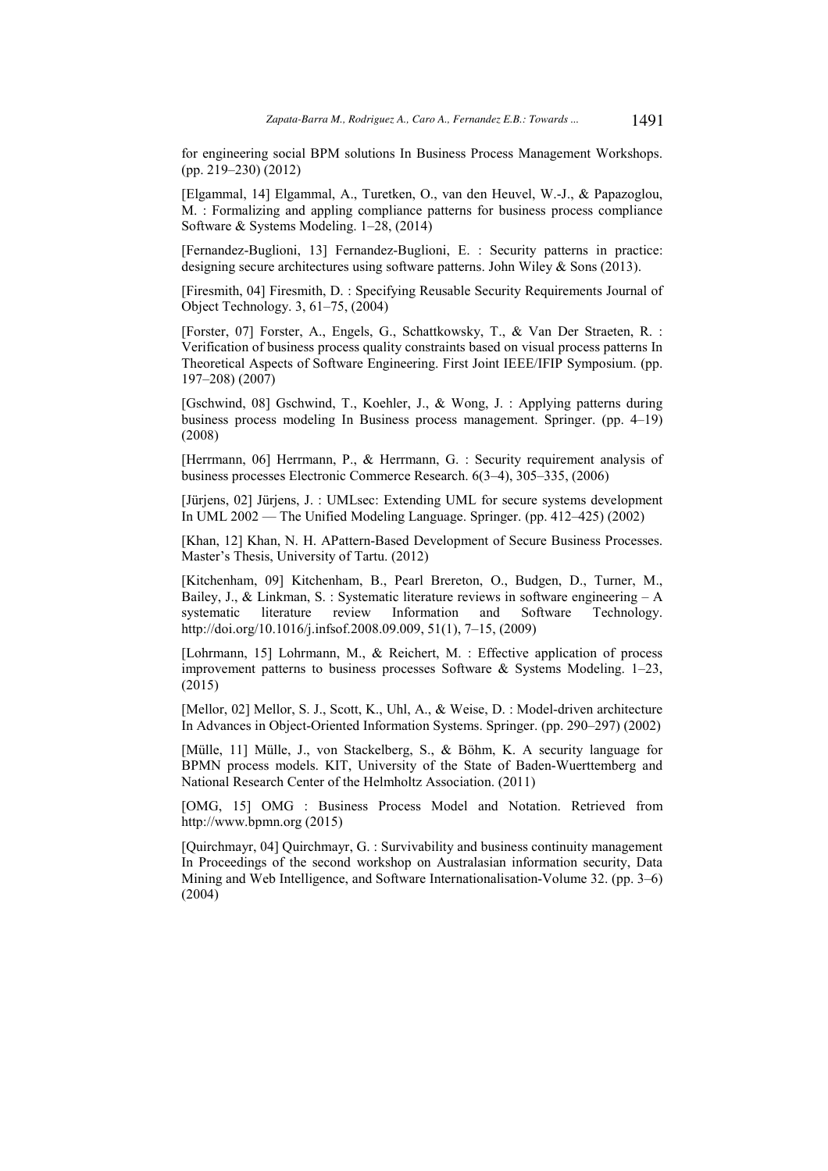for engineering social BPM solutions In Business Process Management Workshops. (pp. 219–230) (2012)

[Elgammal, 14] Elgammal, A., Turetken, O., van den Heuvel, W.-J., & Papazoglou, M. : Formalizing and appling compliance patterns for business process compliance Software & Systems Modeling. 1–28, (2014)

[Fernandez-Buglioni, 13] Fernandez-Buglioni, E. : Security patterns in practice: designing secure architectures using software patterns. John Wiley & Sons (2013).

[Firesmith, 04] Firesmith, D. : Specifying Reusable Security Requirements Journal of Object Technology. 3, 61–75, (2004)

[Forster, 07] Forster, A., Engels, G., Schattkowsky, T., & Van Der Straeten, R. : Verification of business process quality constraints based on visual process patterns In Theoretical Aspects of Software Engineering. First Joint IEEE/IFIP Symposium. (pp. 197–208) (2007)

[Gschwind, 08] Gschwind, T., Koehler, J., & Wong, J. : Applying patterns during business process modeling In Business process management. Springer. (pp. 4–19) (2008)

[Herrmann, 06] Herrmann, P., & Herrmann, G. : Security requirement analysis of business processes Electronic Commerce Research. 6(3–4), 305–335, (2006)

[Jürjens, 02] Jürjens, J. : UMLsec: Extending UML for secure systems development In UML 2002 — The Unified Modeling Language. Springer. (pp. 412–425) (2002)

[Khan, 12] Khan, N. H. APattern-Based Development of Secure Business Processes. Master's Thesis, University of Tartu. (2012)

[Kitchenham, 09] Kitchenham, B., Pearl Brereton, O., Budgen, D., Turner, M., Bailey, J., & Linkman, S. : Systematic literature reviews in software engineering  $-A$ systematic literature review Information and Software Technology. http://doi.org/10.1016/j.infsof.2008.09.009, 51(1), 7–15, (2009)

[Lohrmann, 15] Lohrmann, M., & Reichert, M. : Effective application of process improvement patterns to business processes Software & Systems Modeling. 1–23, (2015)

[Mellor, 02] Mellor, S. J., Scott, K., Uhl, A., & Weise, D. : Model-driven architecture In Advances in Object-Oriented Information Systems. Springer. (pp. 290–297) (2002)

[Mülle, 11] Mülle, J., von Stackelberg, S., & Böhm, K. A security language for BPMN process models. KIT, University of the State of Baden-Wuerttemberg and National Research Center of the Helmholtz Association. (2011)

[OMG, 15] OMG : Business Process Model and Notation. Retrieved from http://www.bpmn.org (2015)

[Quirchmayr, 04] Quirchmayr, G. : Survivability and business continuity management In Proceedings of the second workshop on Australasian information security, Data Mining and Web Intelligence, and Software Internationalisation-Volume 32. (pp. 3–6)  $(2004)$